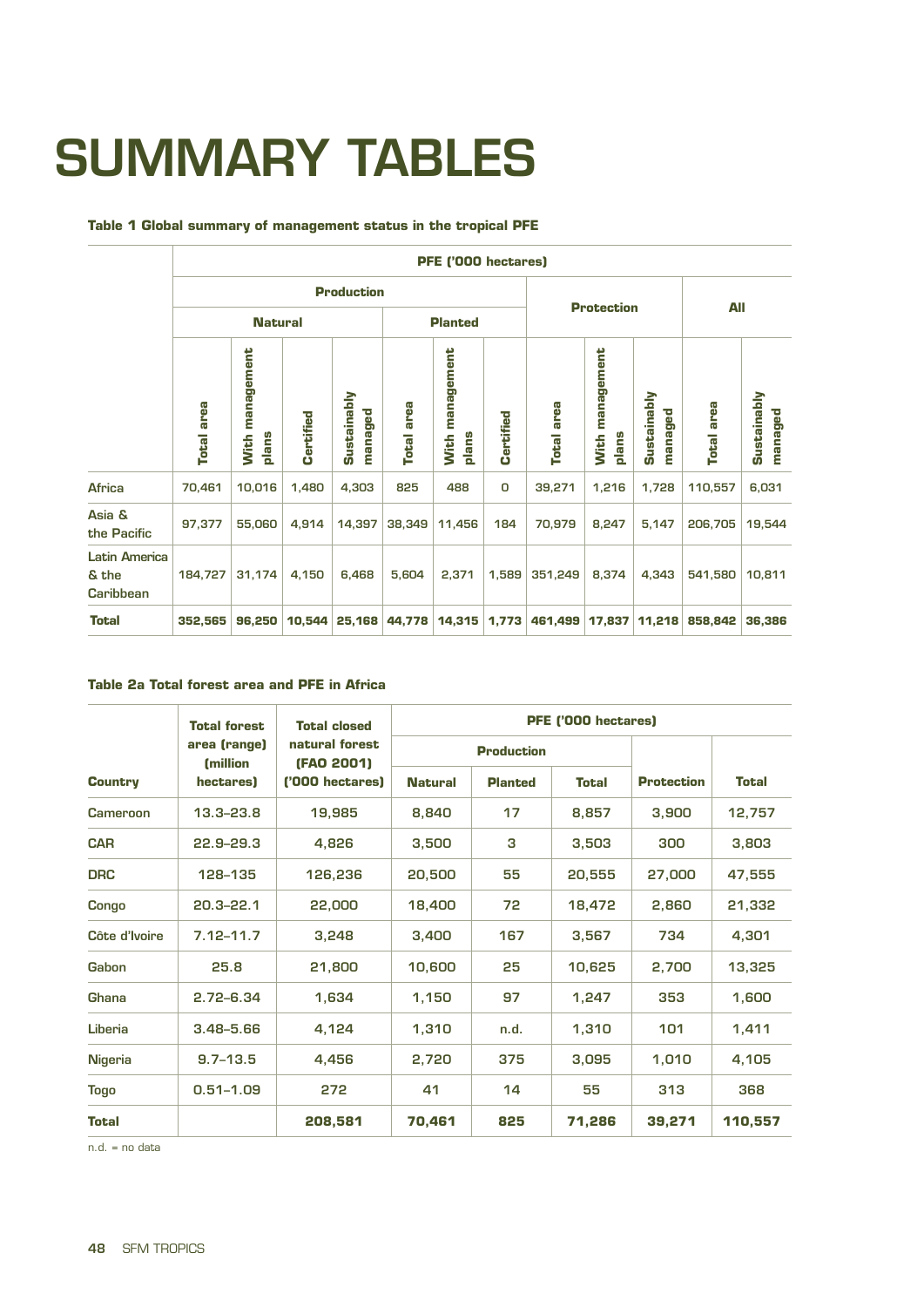# SUMMARY TABLES

#### **Table 1 Global summary of management status in the tropical PFE**

|                                                   |                      | PFE ('000 hectares)         |                  |                        |                      |                          |           |                      |                          |                        |                      |                        |
|---------------------------------------------------|----------------------|-----------------------------|------------------|------------------------|----------------------|--------------------------|-----------|----------------------|--------------------------|------------------------|----------------------|------------------------|
|                                                   |                      | <b>Production</b>           |                  |                        |                      |                          |           |                      |                          |                        |                      |                        |
|                                                   | <b>Natural</b>       |                             |                  |                        |                      | <b>Planted</b>           |           |                      | <b>Protection</b>        |                        | All                  |                        |
|                                                   | area<br><b>Total</b> | management<br>plans<br>With | <b>Certified</b> | Sustainably<br>managed | area<br><b>Total</b> | With management<br>plans | Certified | area<br><b>Total</b> | With management<br>plans | Sustainably<br>managed | area<br><b>Total</b> | Sustainably<br>managed |
| Africa                                            | 70,461               | 10,016                      | 1,480            | 4,303                  | 825                  | 488                      | O         | 39,271               | 1,216                    | 1,728                  | 110,557              | 6,031                  |
| Asia &<br>the Pacific                             | 97,377               | 55,060                      | 4,914            | 14,397                 | 38,349               | 11,456                   | 184       | 70,979               | 8,247                    | 5,147                  | 206,705              | 19,544                 |
| <b>Latin America</b><br>& the<br><b>Caribbean</b> | 184,727              | 31,174                      | 4,150            | 6,468                  | 5,604                | 2,371                    | 1,589     | 351,249              | 8,374                    | 4,343                  | 541,580              | 10,811                 |
| <b>Total</b>                                      | 352,565              | 96,250                      | 10,544           | 25,168                 | 44,778               | 14,315                   | 1,773     | 461,499              | 17,837                   | 11,218                 | 858,842              | 36,386                 |

#### **Table 2a Total forest area and PFE in Africa**

|                 | <b>Total forest</b>      | <b>Total closed</b>          | PFE ('000 hectares) |                   |              |                   |              |  |  |  |
|-----------------|--------------------------|------------------------------|---------------------|-------------------|--------------|-------------------|--------------|--|--|--|
|                 | area (range)<br>(million | natural forest<br>(FAO 2001) |                     | <b>Production</b> |              |                   |              |  |  |  |
| <b>Country</b>  | hectares)                | ('000 hectares)              | <b>Natural</b>      | <b>Planted</b>    | <b>Total</b> | <b>Protection</b> | <b>Total</b> |  |  |  |
| <b>Cameroon</b> | $13.3 - 23.8$            | 19,985                       | 8,840               | 17                | 8,857        | 3,900             | 12,757       |  |  |  |
| <b>CAR</b>      | $22.9 - 29.3$            | 4,826                        | 3,500               | 3                 | 3,503        | 300               | 3,803        |  |  |  |
| <b>DRC</b>      | 128-135                  | 126,236                      | 20,500              | 55                | 20,555       | 27,000            | 47,555       |  |  |  |
| Congo           | $20.3 - 22.1$            | 22,000                       | 18,400              | 72                | 18,472       | 2,860             | 21,332       |  |  |  |
| Côte d'Ivoire   | $7.12 - 11.7$            | 3,248                        | 3,400               | 167               | 3,567        | 734               | 4,301        |  |  |  |
| Gabon           | 25.8                     | 21,800                       | 10,600              | 25                | 10,625       | 2,700             | 13,325       |  |  |  |
| <b>Ghana</b>    | $2.72 - 6.34$            | 1,634                        | 1,150               | 97                | 1,247        | 353               | 1,600        |  |  |  |
| Liberia         | $3.48 - 5.66$            | 4,124                        | 1,310               | n.d.              | 1,310        | 101               | 1,411        |  |  |  |
| Nigeria         | $9.7 - 13.5$             | 4,456                        | 2,720               | 375               | 3,095        | 1,010             | 4,105        |  |  |  |
| <b>Togo</b>     | $0.51 - 1.09$            | 272                          | 41                  | 14                | 55           | 313               | 368          |  |  |  |
| <b>Total</b>    |                          | 208,581                      | 70,461              | 825               | 71,286       | 39,271            | 110,557      |  |  |  |

n.d. = no data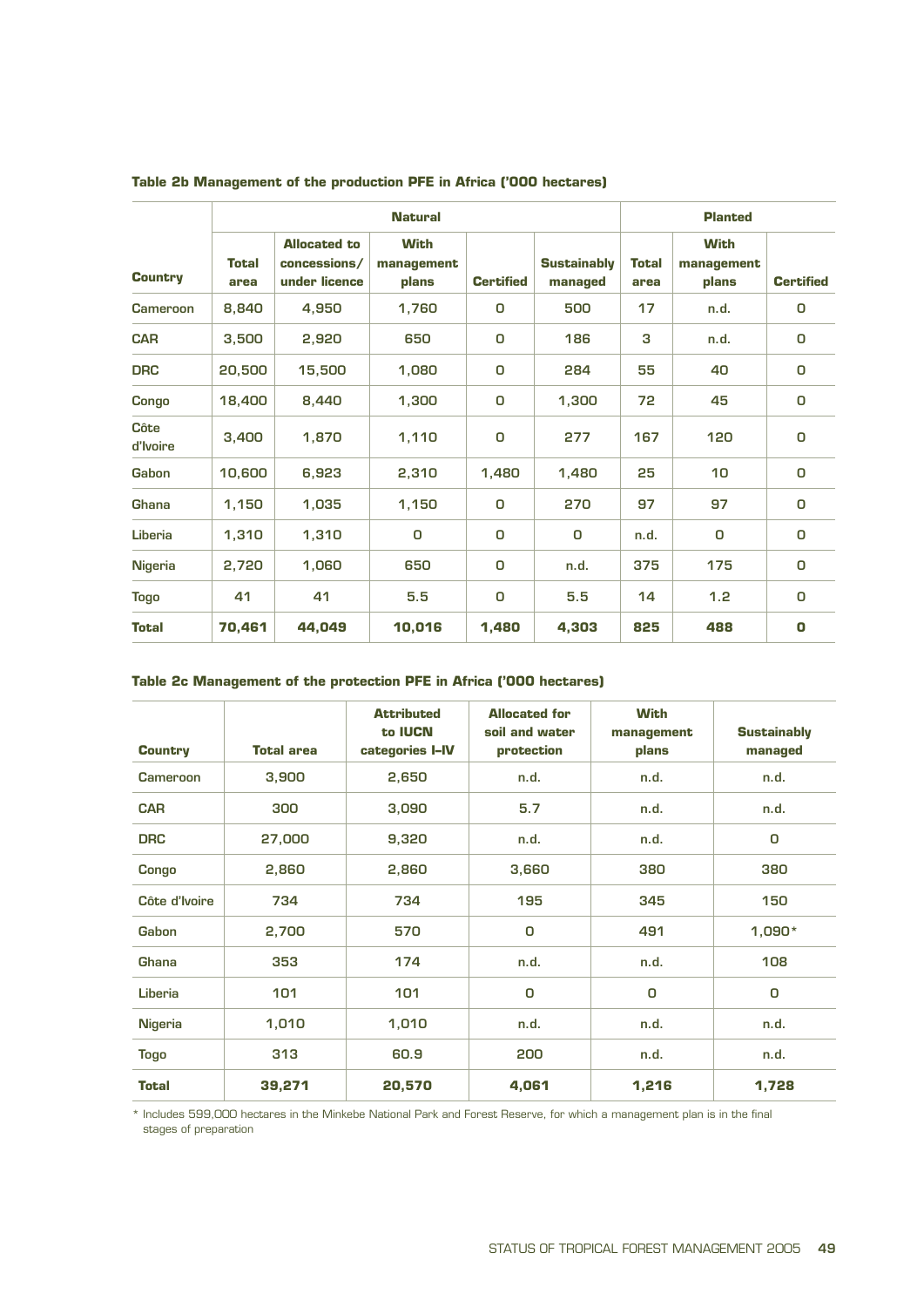|                         |                      |                                                      | <b>Natural</b>                     |                  |                               | <b>Planted</b>       |                                    |                  |  |
|-------------------------|----------------------|------------------------------------------------------|------------------------------------|------------------|-------------------------------|----------------------|------------------------------------|------------------|--|
| <b>Country</b>          | <b>Total</b><br>area | <b>Allocated to</b><br>concessions/<br>under licence | <b>With</b><br>management<br>plans | <b>Certified</b> | <b>Sustainably</b><br>managed | <b>Total</b><br>area | <b>With</b><br>management<br>plans | <b>Certified</b> |  |
| Cameroon                | 8,840                | 4,950                                                | 1,760                              | O                | 500                           | 17                   | n.d.                               | O                |  |
| <b>CAR</b>              | 3,500                | 2,920                                                | 650                                | 0                | 186                           | 3                    | n.d.                               | 0                |  |
| <b>DRC</b>              | 20,500               | 15,500                                               | 1,080                              | 0                | 284                           | 55                   | 40                                 | 0                |  |
| <b>Congo</b>            | 18,400               | 8,440                                                | 1,300                              | $\Omega$         | 1,300                         | 72                   | 45                                 | 0                |  |
| <b>Côte</b><br>d'Ivoire | 3.400                | 1,870                                                | 1,110                              | $\Omega$         | 277                           | 167                  | 120                                | $\Omega$         |  |
| Gabon                   | 10,600               | 6,923                                                | 2,310                              | 1,480            | 1,480                         | 25                   | 10 <sup>1</sup>                    | 0                |  |
| <b>Ghana</b>            | 1,150                | 1,035                                                | 1,150                              | O                | 270                           | 97                   | 97                                 | $\Omega$         |  |
| Liberia                 | 1,310                | 1,310                                                | 0                                  | O                | 0                             | n.d.                 | 0                                  | 0                |  |
| <b>Nigeria</b>          | 2,720                | 1,060                                                | 650                                | O                | n.d.                          | 375                  | 175                                | 0                |  |
| <b>Togo</b>             | 41                   | 41                                                   | 5.5                                | O                | 5.5                           | 14                   | 1.2                                | 0                |  |
| <b>Total</b>            | 70,461               | 44,049                                               | 10,016                             | 1.480            | 4.303                         | 825                  | 488                                | 0                |  |

# **Table 2b Management of the production PFE in Africa ('000 hectares)**

#### **Table 2c Management of the protection PFE in Africa ('000 hectares)**

| <b>Country</b> | <b>Total area</b> | <b>Attributed</b><br>to <b>IUCN</b><br>categories I-IV | <b>Allocated for</b><br>soil and water<br>protection | With<br>management<br>plans | <b>Sustainably</b><br>managed |
|----------------|-------------------|--------------------------------------------------------|------------------------------------------------------|-----------------------------|-------------------------------|
| Cameroon       | 3,900             | 2,650                                                  | n.d.                                                 | n.d.                        | n.d.                          |
| <b>CAR</b>     | 300               | 3,090                                                  | 5.7                                                  | n.d.                        | n.d.                          |
| <b>DRC</b>     | 27,000            | 9,320                                                  | n.d.                                                 | n.d.                        | O                             |
| Congo          | 2,860             | 2,860                                                  | 3,660                                                | 380                         | 380                           |
| Côte d'Ivoire  | 734               | 734                                                    | 195                                                  | 345                         | 150                           |
| <b>Gabon</b>   | 2,700             | 570                                                    | 0                                                    | 491                         | $1,090*$                      |
| <b>Ghana</b>   | 353               | 174                                                    | n.d.                                                 | n.d.                        | 108                           |
| Liberia        | 101               | 101                                                    | O                                                    | 0                           | O                             |
| <b>Nigeria</b> | 1,010             | 1,010                                                  | n.d.                                                 | n.d.                        | n.d.                          |
| <b>Togo</b>    | 313               | 60.9                                                   | 200                                                  | n.d.                        | n.d.                          |
| <b>Total</b>   | 39,271            | 20,570                                                 | 4,061                                                | 1,216                       | 1.728                         |

\* Includes 599,000 hectares in the Minkebe National Park and Forest Reserve, for which a management plan is in the final stages of preparation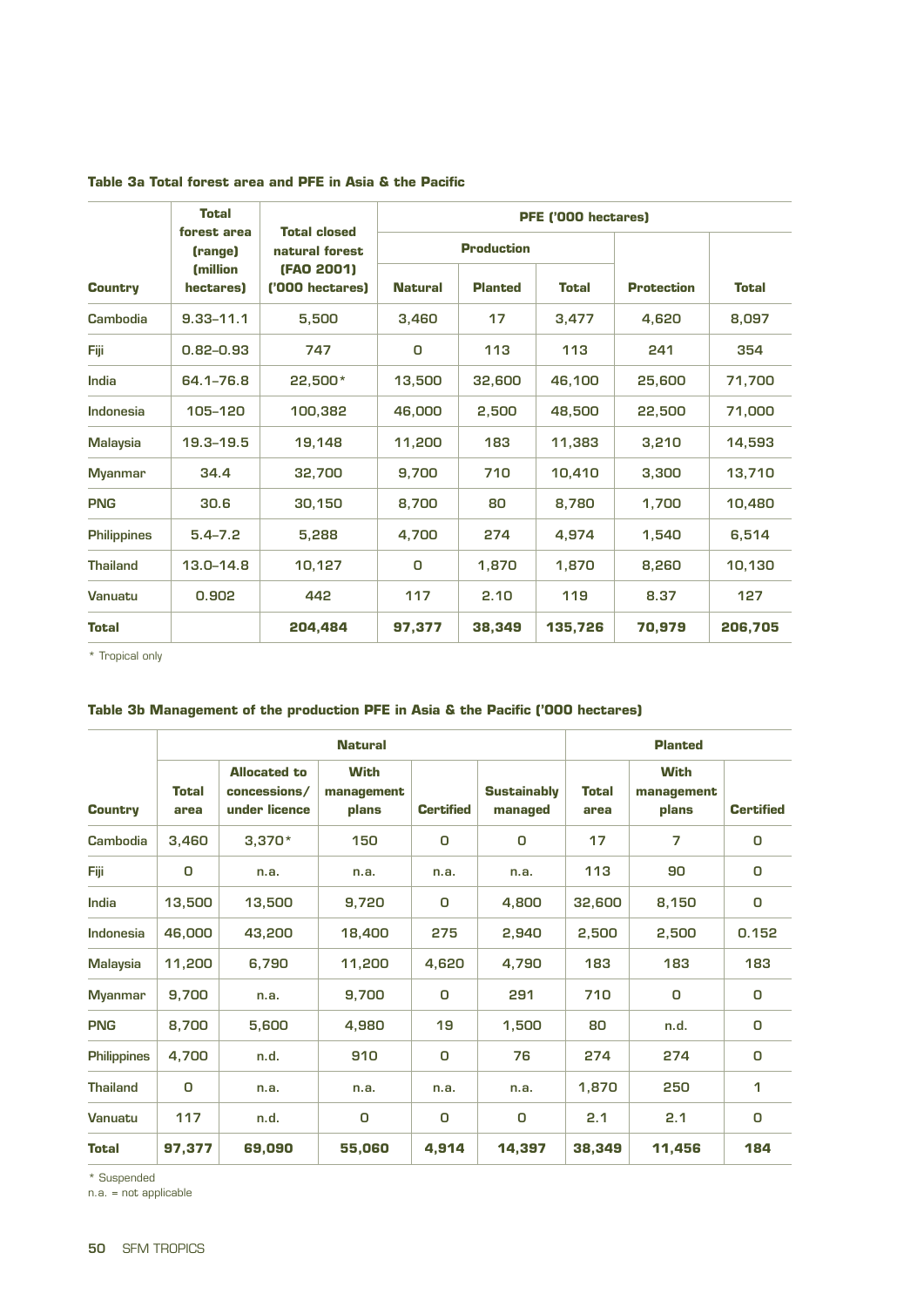|                    | <b>Total</b>                 |                                       | PFE ('000 hectares) |                   |              |                   |              |  |  |  |
|--------------------|------------------------------|---------------------------------------|---------------------|-------------------|--------------|-------------------|--------------|--|--|--|
|                    | forest area<br>(range)       | <b>Total closed</b><br>natural forest |                     | <b>Production</b> |              |                   |              |  |  |  |
| <b>Country</b>     | <b>Imillion</b><br>hectares) | (FAO 2001)<br>('000 hectares)         | <b>Natural</b>      | <b>Planted</b>    | <b>Total</b> | <b>Protection</b> | <b>Total</b> |  |  |  |
| Cambodia           | $9.33 - 11.1$                | 5,500                                 | 3,460               | 17                | 3,477        | 4,620             | 8,097        |  |  |  |
| Fiji               | $0.82 - 0.93$                | 747                                   | 0                   | 113               | 113          | 241               | 354          |  |  |  |
| India              | 64.1-76.8                    | $22,500*$                             | 13,500              | 32,600            | 46,100       | 25,600            | 71,700       |  |  |  |
| Indonesia          | 105-120                      | 100,382                               | 46,000              | 2,500             | 48,500       | 22,500            | 71,000       |  |  |  |
| <b>Malaysia</b>    | 19.3-19.5                    | 19,148                                | 11,200              | 183               | 11,383       | 3.210             | 14,593       |  |  |  |
| <b>Myanmar</b>     | 34.4                         | 32,700                                | 9.700               | 710               | 10.410       | 3.300             | 13,710       |  |  |  |
| <b>PNG</b>         | 30.6                         | 30,150                                | 8.700               | 80                | 8.780        | 1.700             | 10.480       |  |  |  |
| <b>Philippines</b> | $5.4 - 7.2$                  | 5.288                                 | 4,700               | 274               | 4.974        | 1.540             | 6,514        |  |  |  |
| <b>Thailand</b>    | 13.0-14.8                    | 10,127                                | 0                   | 1,870             | 1,870        | 8,260             | 10,130       |  |  |  |
| Vanuatu            | 0.902                        | 442                                   | 117                 | 2.10              | 119          | 8.37              | 127          |  |  |  |
| <b>Total</b>       |                              | 204.484                               | 97.377              | 38,349            | 135,726      | 70.979            | 206,705      |  |  |  |

# **Table 3a Total forest area and PFE in Asia & the Pacific**

\* Tropical only

## **Table 3b Management of the production PFE in Asia & the Pacific ('000 hectares)**

|                    |                      |                                                      | <b>Natural</b>              |                  |                               | <b>Planted</b>       |                             |                  |  |
|--------------------|----------------------|------------------------------------------------------|-----------------------------|------------------|-------------------------------|----------------------|-----------------------------|------------------|--|
| <b>Country</b>     | <b>Total</b><br>area | <b>Allocated to</b><br>concessions/<br>under licence | With<br>management<br>plans | <b>Certified</b> | <b>Sustainably</b><br>managed | <b>Total</b><br>area | With<br>management<br>plans | <b>Certified</b> |  |
| Cambodia           | 3,460                | $3,370*$                                             | 150                         | 0                | 0                             | 17                   | 7                           | 0                |  |
| Fiji               | O                    | n.a.                                                 | n.a.                        | n.a.             | n.a.                          | 113                  | 90                          | 0                |  |
| India              | 13,500               | 13,500                                               | 9,720                       | 0                | 4,800                         | 32,600               | 8,150                       | 0                |  |
| Indonesia          | 46,000               | 43.200                                               | 18,400                      | 275              | 2,940                         | 2,500                | 2,500                       | 0.152            |  |
| <b>Malaysia</b>    | 11,200               | 6,790                                                | 11,200                      | 4,620            | 4,790                         | 183                  | 183                         | 183              |  |
| <b>Myanmar</b>     | 9,700                | n.a.                                                 | 9,700                       | 0                | 291                           | 710                  | 0                           | 0                |  |
| <b>PNG</b>         | 8,700                | 5,600                                                | 4,980                       | 19               | 1,500                         | 80                   | n.d.                        | $\Omega$         |  |
| <b>Philippines</b> | 4,700                | n.d.                                                 | 910                         | 0                | 76                            | 274                  | 274                         | 0                |  |
| <b>Thailand</b>    | O                    | n.a.                                                 | n.a.                        | n.a.             | n.a.                          | 1,870                | 250                         | 1                |  |
| <b>Vanuatu</b>     | 117                  | n.d.                                                 | O                           | 0                | 0                             | 2.1                  | 2.1                         | 0                |  |
| <b>Total</b>       | 97,377               | 69,090                                               | 55,060                      | 4,914            | 14,397                        | 38,349               | 11,456                      | 184              |  |

\* Suspended

n.a. = not applicable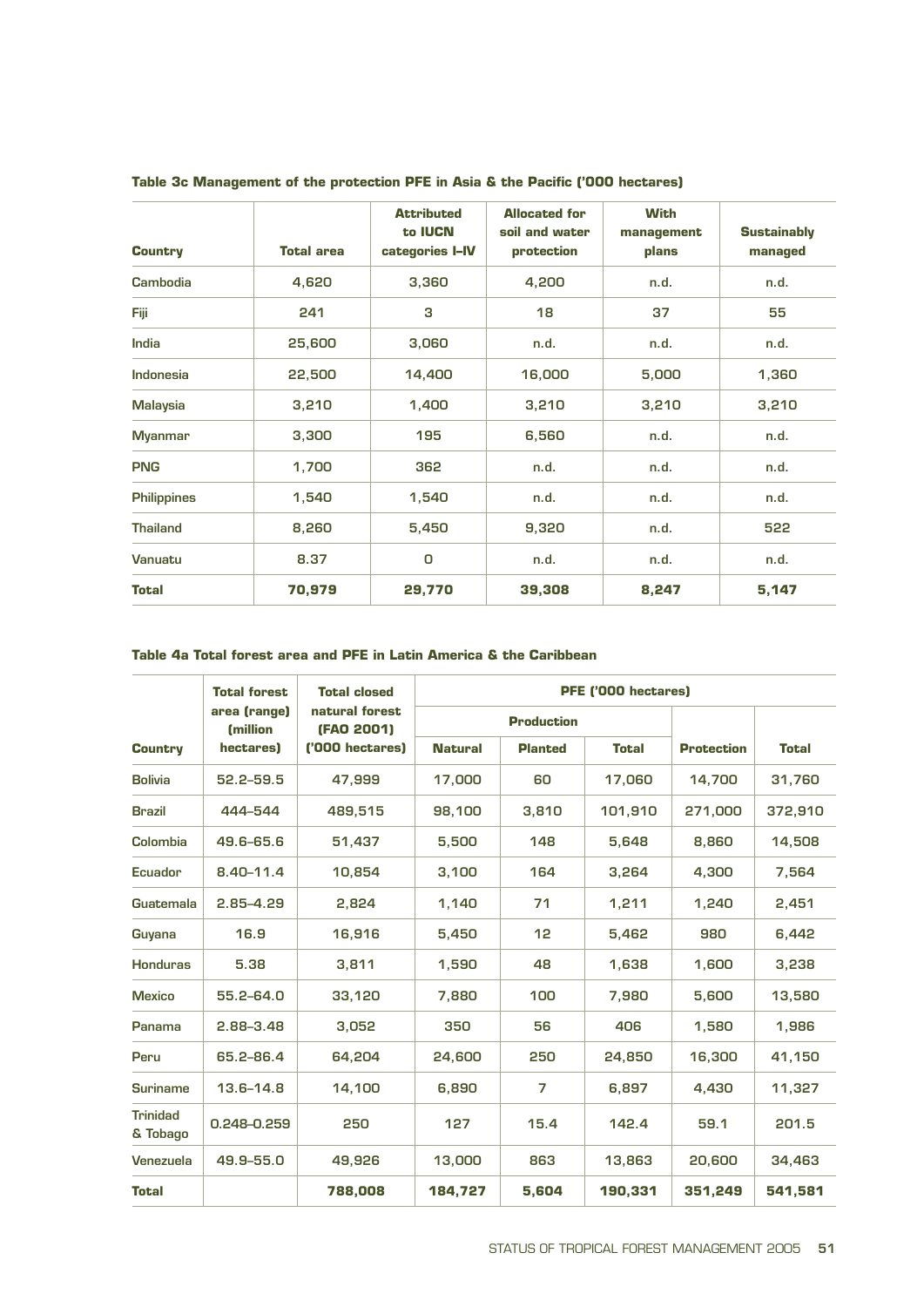| <b>Country</b>     | <b>Total area</b> | <b>Attributed</b><br>to <b>IUCN</b><br>categories I-IV | <b>Allocated for</b><br>soil and water<br>protection | <b>With</b><br>management<br>plans | <b>Sustainably</b><br>managed |
|--------------------|-------------------|--------------------------------------------------------|------------------------------------------------------|------------------------------------|-------------------------------|
| Cambodia           | 4,620             | 3,360                                                  | 4,200                                                | n.d.                               | n.d.                          |
| Fiji               | 241               | з                                                      | 18                                                   | 37                                 | 55                            |
| India              | 25,600            | 3,060                                                  | n.d.                                                 | n.d.                               | n.d.                          |
| Indonesia          | 22,500            | 14,400                                                 | 16,000                                               | 5,000                              | 1,360                         |
| <b>Malaysia</b>    | 3,210             | 1,400                                                  | 3,210                                                | 3,210                              | 3,210                         |
| <b>Myanmar</b>     | 3,300             | 195                                                    | 6,560                                                | n.d.                               | n.d.                          |
| <b>PNG</b>         | 1,700             | 362                                                    | n.d.                                                 | n.d.                               | n.d.                          |
| <b>Philippines</b> | 1,540             | 1,540                                                  | n.d.                                                 | n.d.                               | n.d.                          |
| <b>Thailand</b>    | 8,260             | 5,450                                                  | 9,320                                                | n.d.                               | 522                           |
| Vanuatu            | 8.37              | 0                                                      | n.d.                                                 | n.d.                               | n.d.                          |
| <b>Total</b>       | 70,979            | 29,770                                                 | 39,308                                               | 8,247                              | 5,147                         |

## **Table 3c Management of the protection PFE in Asia & the Pacific ('000 hectares)**

#### **Table 4a Total forest area and PFE in Latin America & the Caribbean**

|                             | <b>Total forest</b>             | <b>Total closed</b>          | PFE ('000 hectares) |                   |         |                   |              |  |  |  |
|-----------------------------|---------------------------------|------------------------------|---------------------|-------------------|---------|-------------------|--------------|--|--|--|
|                             | area (range)<br><b>Imillion</b> | natural forest<br>(FAO 2001) |                     | <b>Production</b> |         |                   |              |  |  |  |
| <b>Country</b>              | hectares)                       | ('000 hectares)              | <b>Natural</b>      | <b>Planted</b>    |         | <b>Protection</b> | <b>Total</b> |  |  |  |
| <b>Bolivia</b>              | $52.2 - 59.5$                   | 47.999                       | 17,000              | 60                | 17,060  | 14.700            | 31,760       |  |  |  |
| <b>Brazil</b>               | 444-544                         | 489,515                      | 98,100              | 3,810             | 101,910 | 271,000           | 372,910      |  |  |  |
| Colombia                    | 49.6-65.6                       | 51.437                       | 5,500               | 148               | 5.648   | 8,860             | 14.508       |  |  |  |
| Ecuador                     | $8.40 - 11.4$                   | 10,854                       | 3,100               | 164               | 3,264   | 4,300             | 7,564        |  |  |  |
| Guatemala                   | $2.85 - 4.29$                   | 2,824                        | 1,140               | 71                | 1,211   | 1,240             | 2,451        |  |  |  |
| Guyana                      | 16.9                            | 16,916                       | 5,450               | 12                | 5,462   | 980               | 6.442        |  |  |  |
| <b>Honduras</b>             | 5.38                            | 3,811                        | 1,590               | 48                | 1,638   | 1,600             | 3,238        |  |  |  |
| <b>Mexico</b>               | $55.2 - 64.0$                   | 33,120                       | 7,880               | 100               | 7,980   | 5,600             | 13,580       |  |  |  |
| Panama                      | $2.88 - 3.48$                   | 3,052                        | 350                 | 56                | 406     | 1,580             | 1,986        |  |  |  |
| Peru                        | 65.2-86.4                       | 64.204                       | 24,600              | 250               | 24,850  | 16,300            | 41,150       |  |  |  |
| <b>Suriname</b>             | $13.6 - 14.8$                   | 14,100                       | 6,890               | 7                 | 6,897   | 4,430             | 11,327       |  |  |  |
| <b>Trinidad</b><br>& Tobago | $0.248 - 0.259$                 | 250                          | 127                 | 15.4              | 142.4   | 59.1              | 201.5        |  |  |  |
| Venezuela                   | 49.9-55.0                       | 49,926                       | 13,000              | 863               | 13,863  | 20,600            | 34,463       |  |  |  |
| <b>Total</b>                |                                 | 788,008                      | 184,727             | 5.604             | 190,331 | 351.249           | 541,581      |  |  |  |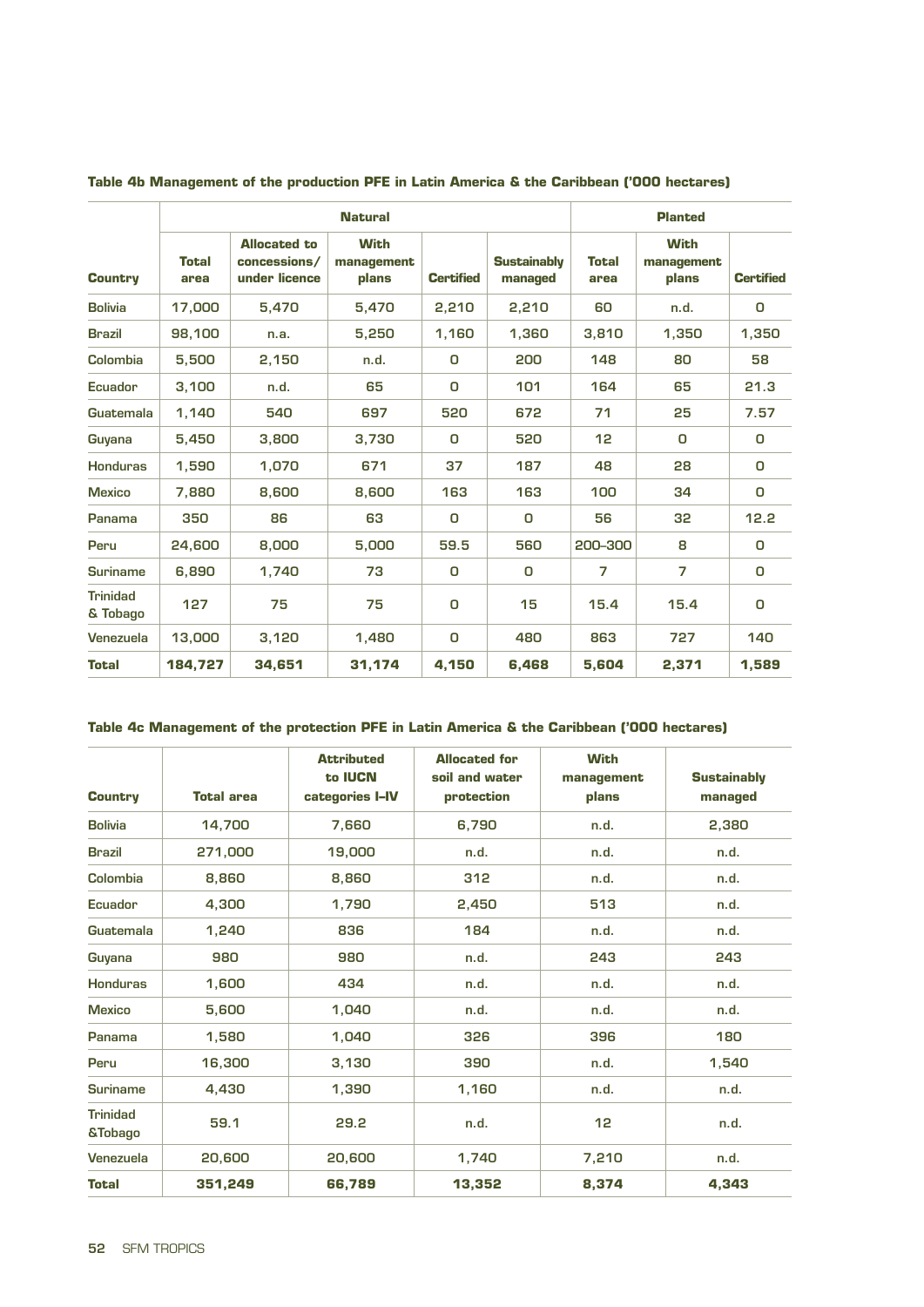|                             |                      |                                                      | <b>Natural</b>                     |                  |                               | <b>Planted</b>       |                                    |                  |  |
|-----------------------------|----------------------|------------------------------------------------------|------------------------------------|------------------|-------------------------------|----------------------|------------------------------------|------------------|--|
| <b>Country</b>              | <b>Total</b><br>area | <b>Allocated to</b><br>concessions/<br>under licence | <b>With</b><br>management<br>plans | <b>Certified</b> | <b>Sustainably</b><br>managed | <b>Total</b><br>area | <b>With</b><br>management<br>plans | <b>Certified</b> |  |
| <b>Bolivia</b>              | 17.000               | 5.470                                                | 5.470                              | 2.210            | 2.210                         | 60                   | n.d.                               | 0                |  |
| <b>Brazil</b>               | 98.100               | n.a.                                                 | 5.250                              | 1,160            | 1,360                         | 3.810                | 1.350                              | 1,350            |  |
| Colombia                    | 5.500                | 2.150                                                | n.d.                               | 0                | 200                           | 148                  | 80                                 | 58               |  |
| Ecuador                     | 3,100                | n.d.                                                 | 65                                 | $\Omega$         | 101                           | 164                  | 65                                 | 21.3             |  |
| Guatemala                   | 1.140                | 540                                                  | 697                                | 520              | 672                           | 71                   | 25                                 | 7.57             |  |
| Guyana                      | 5.450                | 3,800                                                | 3,730                              | 0                | 520                           | 12                   | 0                                  | 0                |  |
| <b>Honduras</b>             | 1.590                | 1.070                                                | 671                                | 37               | 187                           | 48                   | 28                                 | 0                |  |
| <b>Mexico</b>               | 7,880                | 8,600                                                | 8,600                              | 163              | 163                           | 100                  | 34                                 | $\Omega$         |  |
| Panama                      | 350                  | 86                                                   | 63                                 | 0                | 0                             | 56                   | 32                                 | 12.2             |  |
| Peru                        | 24.600               | 8.000                                                | 5.000                              | 59.5             | 560                           | 200-300              | 8                                  | $\Omega$         |  |
| <b>Suriname</b>             | 6,890                | 1.740                                                | 73                                 | 0                | 0                             | 7                    | 7                                  | $\Omega$         |  |
| <b>Trinidad</b><br>& Tobago | 127                  | 75                                                   | 75                                 | 0                | 15                            | 15.4                 | 15.4                               | $\Omega$         |  |
| <b>Venezuela</b>            | 13,000               | 3,120                                                | 1.480                              | $\Omega$         | 480                           | 863                  | 727                                | 140              |  |
| <b>Total</b>                | 184.727              | 34,651                                               | 31,174                             | 4.150            | 6.468                         | 5.604                | 2.371                              | 1.589            |  |

**Table 4b Management of the production PFE in Latin America & the Caribbean ('000 hectares)**

## **Table 4c Management of the protection PFE in Latin America & the Caribbean ('000 hectares)**

| <b>Country</b>                        | <b>Total area</b> | <b>Attributed</b><br>to IUCN<br>categories I-IV | <b>Allocated for</b><br>soil and water<br>protection | With<br>management<br>plans | <b>Sustainably</b><br>managed |
|---------------------------------------|-------------------|-------------------------------------------------|------------------------------------------------------|-----------------------------|-------------------------------|
| <b>Bolivia</b>                        | 14,700            | 7,660                                           | 6,790                                                | n.d.                        | 2,380                         |
| <b>Brazil</b>                         | 271,000           | 19,000                                          | n.d.                                                 | n.d.                        | n.d.                          |
| Colombia                              | 8,860             | 8,860                                           | 312                                                  | n.d.                        | n.d.                          |
| <b>Ecuador</b>                        | 4,300             | 1,790                                           | 2,450                                                | 513                         | n.d.                          |
| Guatemala                             | 1,240             | 836                                             | 184                                                  | n.d.                        | n.d.                          |
| Guyana                                | 980               | 980                                             | n.d.                                                 | 243                         | 243                           |
| <b>Honduras</b>                       | 1,600             | 434                                             | n.d.                                                 | n.d.                        | n.d.                          |
| <b>Mexico</b>                         | 5,600             | 1,040                                           | n.d.                                                 | n.d.                        | n.d.                          |
| Panama                                | 1,580             | 1,040                                           | 326                                                  | 396                         | 180                           |
| Peru                                  | 16,300            | 3,130                                           | 390                                                  | n.d.                        | 1,540                         |
| <b>Suriname</b>                       | 4,430             | 1,390                                           | 1,160                                                | n.d.                        | n.d.                          |
| <b>Trinidad</b><br><b>&amp;Tobago</b> | 59.1              | 29.2                                            | n.d.                                                 | 12                          | n.d.                          |
| Venezuela                             | 20,600            | 20,600                                          | 1,740                                                | 7,210                       | n.d.                          |
| <b>Total</b>                          | 351,249           | 66,789                                          | 13,352                                               | 8,374                       | 4,343                         |